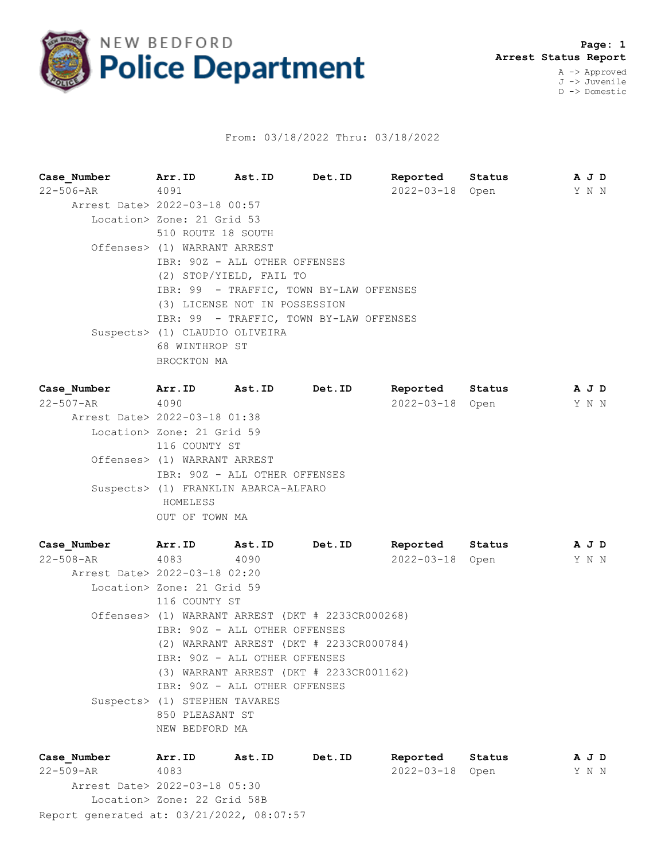

## From: 03/18/2022 Thru: 03/18/2022

**Case\_Number Arr.ID Ast.ID Det.ID Reported Status A J D** 22-506-AR 4091 2022-03-18 Open Y N N Arrest Date> 2022-03-18 00:57 Location> Zone: 21 Grid 53 510 ROUTE 18 SOUTH Offenses> (1) WARRANT ARREST IBR: 90Z - ALL OTHER OFFENSES (2) STOP/YIELD, FAIL TO IBR: 99 - TRAFFIC, TOWN BY-LAW OFFENSES (3) LICENSE NOT IN POSSESSION IBR: 99 - TRAFFIC, TOWN BY-LAW OFFENSES Suspects> (1) CLAUDIO OLIVEIRA 68 WINTHROP ST BROCKTON MA

| Case Number                   | Arr.ID                               | Ast.ID | Det.ID | Reported         | Status |  | A J D |  |  |  |
|-------------------------------|--------------------------------------|--------|--------|------------------|--------|--|-------|--|--|--|
| 22-507-AR                     | 4090                                 |        |        | $2022 - 03 - 18$ | Open   |  | Y N N |  |  |  |
| Arrest Date> 2022-03-18 01:38 |                                      |        |        |                  |        |  |       |  |  |  |
|                               | Location> Zone: 21 Grid 59           |        |        |                  |        |  |       |  |  |  |
|                               | 116 COUNTY ST                        |        |        |                  |        |  |       |  |  |  |
|                               | Offenses> (1) WARRANT ARREST         |        |        |                  |        |  |       |  |  |  |
|                               | IBR: 90Z - ALL OTHER OFFENSES        |        |        |                  |        |  |       |  |  |  |
|                               | Suspects> (1) FRANKLIN ABARCA-ALFARO |        |        |                  |        |  |       |  |  |  |
|                               | HOMELESS                             |        |        |                  |        |  |       |  |  |  |
|                               | OUT OF TOWN MA                       |        |        |                  |        |  |       |  |  |  |
|                               |                                      |        |        |                  |        |  |       |  |  |  |

**Case\_Number Arr.ID Ast.ID Det.ID Reported Status A J D** 22-508-AR 4083 4090 2022-03-18 Open Y N N Arrest Date> 2022-03-18 02:20 Location> Zone: 21 Grid 59 116 COUNTY ST Offenses> (1) WARRANT ARREST (DKT # 2233CR000268) IBR: 90Z - ALL OTHER OFFENSES (2) WARRANT ARREST (DKT # 2233CR000784) IBR: 90Z - ALL OTHER OFFENSES (3) WARRANT ARREST (DKT # 2233CR001162) IBR: 90Z - ALL OTHER OFFENSES Suspects> (1) STEPHEN TAVARES 850 PLEASANT ST NEW BEDFORD MA

| Case Number                               | Arr.ID                      | Ast.ID | Det.ID | Reported        | Status | AJD   |
|-------------------------------------------|-----------------------------|--------|--------|-----------------|--------|-------|
| 22-509-AR                                 | 4083                        |        |        | 2022-03-18 Open |        | Y N N |
| Arrest Date> 2022-03-18 05:30             |                             |        |        |                 |        |       |
|                                           | Location> Zone: 22 Grid 58B |        |        |                 |        |       |
| Report generated at: 03/21/2022, 08:07:57 |                             |        |        |                 |        |       |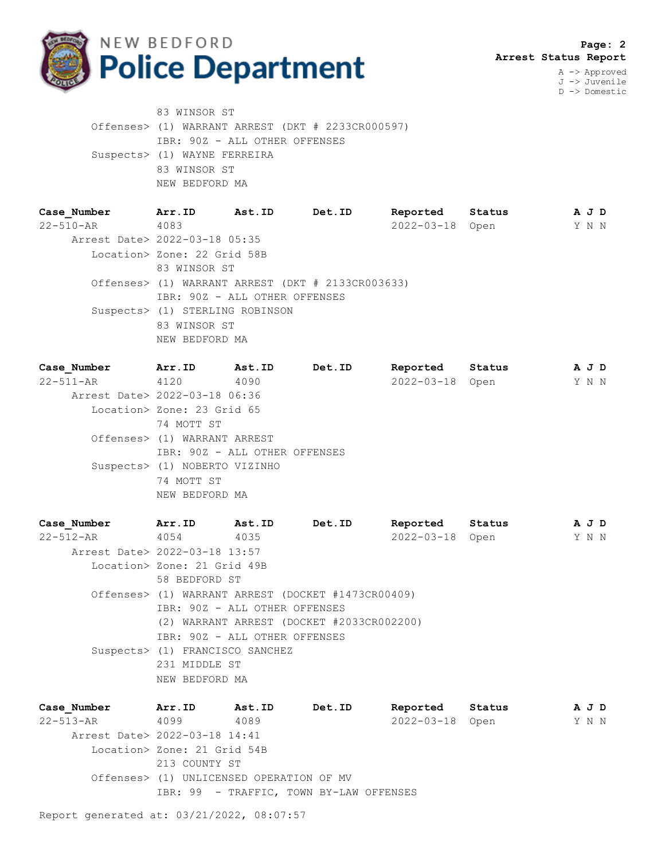

J -> Juvenile D -> Domestic

83 WINSOR ST Offenses> (1) WARRANT ARREST (DKT # 2233CR000597) IBR: 90Z - ALL OTHER OFFENSES Suspects> (1) WAYNE FERREIRA 83 WINSOR ST NEW BEDFORD MA

**Case\_Number Arr.ID Ast.ID Det.ID Reported Status A J D** 22-510-AR 4083 2022-03-18 Open Y N N Arrest Date> 2022-03-18 05:35 Location> Zone: 22 Grid 58B 83 WINSOR ST Offenses> (1) WARRANT ARREST (DKT # 2133CR003633) IBR: 90Z - ALL OTHER OFFENSES Suspects> (1) STERLING ROBINSON 83 WINSOR ST NEW BEDFORD MA

**Case\_Number Arr.ID Ast.ID Det.ID Reported Status A J D** 22-511-AR 4120 4090 2022-03-18 Open Y N N Arrest Date> 2022-03-18 06:36 Location> Zone: 23 Grid 65 74 MOTT ST Offenses> (1) WARRANT ARREST IBR: 90Z - ALL OTHER OFFENSES Suspects> (1) NOBERTO VIZINHO 74 MOTT ST NEW BEDFORD MA

**Case\_Number Arr.ID Ast.ID Det.ID Reported Status A J D** 22-512-AR 4054 4035 2022-03-18 Open Y N N Arrest Date> 2022-03-18 13:57 Location> Zone: 21 Grid 49B 58 BEDFORD ST Offenses> (1) WARRANT ARREST (DOCKET #1473CR00409) IBR: 90Z - ALL OTHER OFFENSES (2) WARRANT ARREST (DOCKET #2033CR002200) IBR: 90Z - ALL OTHER OFFENSES Suspects> (1) FRANCISCO SANCHEZ 231 MIDDLE ST NEW BEDFORD MA

**Case\_Number Arr.ID Ast.ID Det.ID Reported Status A J D** 22-513-AR 4099 4089 2022-03-18 Open Y N N Arrest Date> 2022-03-18 14:41 Location> Zone: 21 Grid 54B 213 COUNTY ST Offenses> (1) UNLICENSED OPERATION OF MV IBR: 99 - TRAFFIC, TOWN BY-LAW OFFENSES

Report generated at: 03/21/2022, 08:07:57